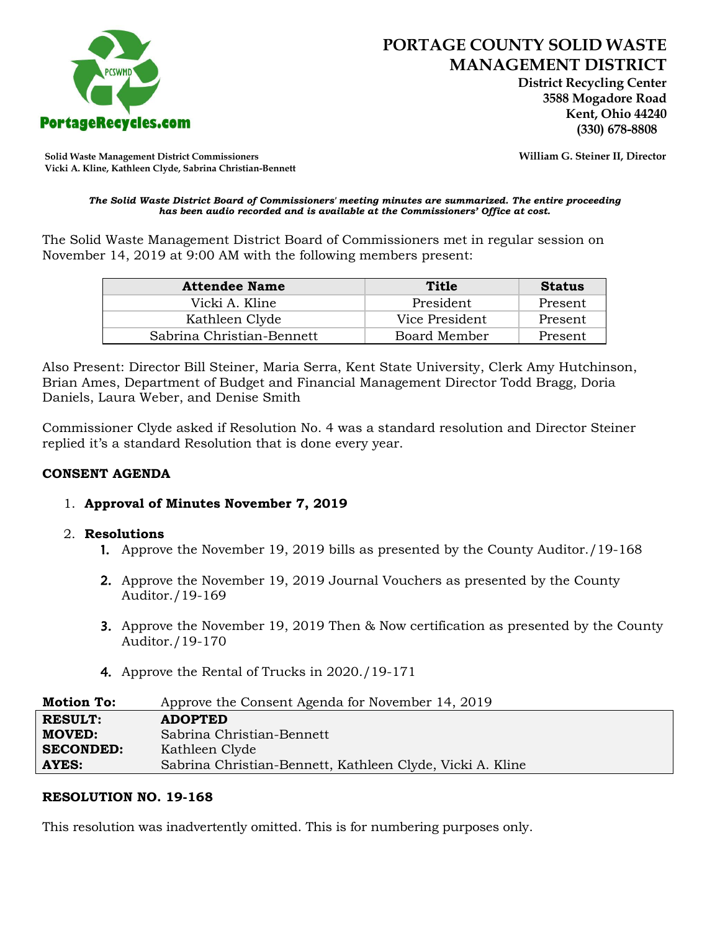

 **District Recycling Center 3588 Mogadore Road Kent, Ohio 44240**

**Solid Waste Management District Commissioners William G. Steiner II, Director Vicki A. Kline, Kathleen Clyde, Sabrina Christian-Bennett** 

#### *The Solid Waste District Board of Commissioners' meeting minutes are summarized. The entire proceeding has been audio recorded and is available at the Commissioners' Office at cost.*

The Solid Waste Management District Board of Commissioners met in regular session on November 14, 2019 at 9:00 AM with the following members present:

| <b>Attendee Name</b>      | Title          | <b>Status</b> |
|---------------------------|----------------|---------------|
| Vicki A. Kline            | President      | Present       |
| Kathleen Clyde            | Vice President | Present       |
| Sabrina Christian-Bennett | Board Member   | Present       |

Also Present: Director Bill Steiner, Maria Serra, Kent State University, Clerk Amy Hutchinson, Brian Ames, Department of Budget and Financial Management Director Todd Bragg, Doria Daniels, Laura Weber, and Denise Smith

Commissioner Clyde asked if Resolution No. 4 was a standard resolution and Director Steiner replied it's a standard Resolution that is done every year.

#### **CONSENT AGENDA**

#### 1. **Approval of Minutes November 7, 2019**

#### 2. **Resolutions**

- 1. Approve the November 19, 2019 bills as presented by the County Auditor./19-168
- 2. Approve the November 19, 2019 Journal Vouchers as presented by the County Auditor./19-169
- 3. Approve the November 19, 2019 Then & Now certification as presented by the County Auditor./19-170
- 4. Approve the Rental of Trucks in 2020./19-171

| <b>Motion To:</b> | Approve the Consent Agenda for November 14, 2019          |
|-------------------|-----------------------------------------------------------|
| <b>RESULT:</b>    | <b>ADOPTED</b>                                            |
| <b>MOVED:</b>     | Sabrina Christian-Bennett                                 |
| <b>SECONDED:</b>  | Kathleen Clyde                                            |
| AYES:             | Sabrina Christian-Bennett, Kathleen Clyde, Vicki A. Kline |

### **RESOLUTION NO. 19-168**

This resolution was inadvertently omitted. This is for numbering purposes only.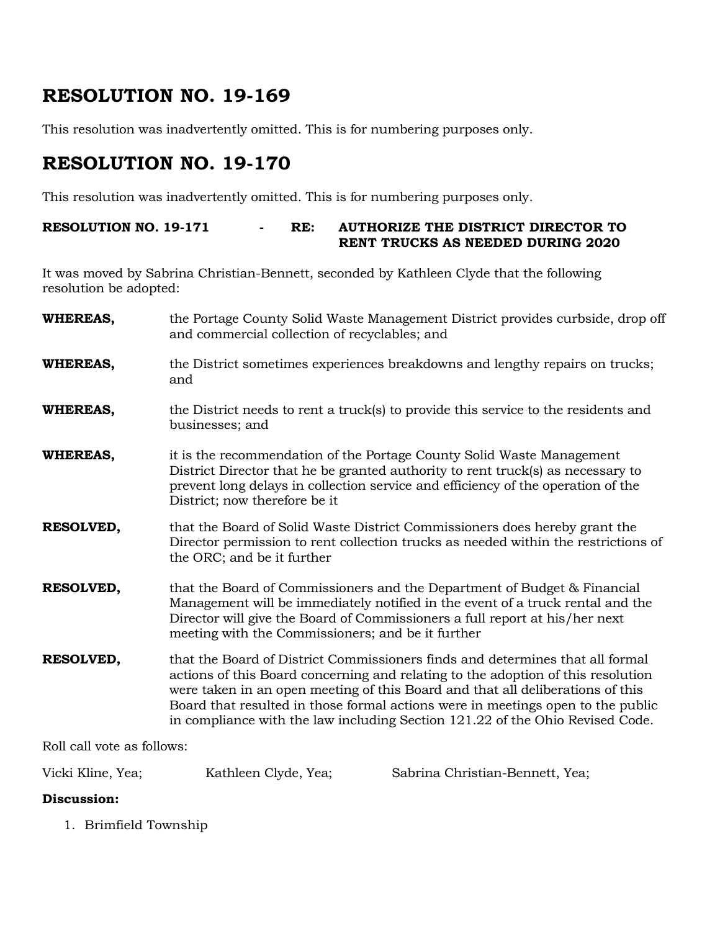## **RESOLUTION NO. 19-169**

This resolution was inadvertently omitted. This is for numbering purposes only.

# **RESOLUTION NO. 19-170**

This resolution was inadvertently omitted. This is for numbering purposes only.

#### **RESOLUTION NO. 19-171 - RE: AUTHORIZE THE DISTRICT DIRECTOR TO RENT TRUCKS AS NEEDED DURING 2020**

It was moved by Sabrina Christian-Bennett, seconded by Kathleen Clyde that the following resolution be adopted:

| <b>WHEREAS,</b>  | the Portage County Solid Waste Management District provides curbside, drop off<br>and commercial collection of recyclables; and                                                                                                                                                                                                                                                                                         |
|------------------|-------------------------------------------------------------------------------------------------------------------------------------------------------------------------------------------------------------------------------------------------------------------------------------------------------------------------------------------------------------------------------------------------------------------------|
| <b>WHEREAS,</b>  | the District sometimes experiences breakdowns and lengthy repairs on trucks;<br>and                                                                                                                                                                                                                                                                                                                                     |
| <b>WHEREAS,</b>  | the District needs to rent a truck(s) to provide this service to the residents and<br>businesses; and                                                                                                                                                                                                                                                                                                                   |
| <b>WHEREAS,</b>  | it is the recommendation of the Portage County Solid Waste Management<br>District Director that he be granted authority to rent truck(s) as necessary to<br>prevent long delays in collection service and efficiency of the operation of the<br>District; now therefore be it                                                                                                                                           |
| RESOLVED,        | that the Board of Solid Waste District Commissioners does hereby grant the<br>Director permission to rent collection trucks as needed within the restrictions of<br>the ORC; and be it further                                                                                                                                                                                                                          |
| <b>RESOLVED,</b> | that the Board of Commissioners and the Department of Budget & Financial<br>Management will be immediately notified in the event of a truck rental and the<br>Director will give the Board of Commissioners a full report at his/her next<br>meeting with the Commissioners; and be it further                                                                                                                          |
| <b>RESOLVED,</b> | that the Board of District Commissioners finds and determines that all formal<br>actions of this Board concerning and relating to the adoption of this resolution<br>were taken in an open meeting of this Board and that all deliberations of this<br>Board that resulted in those formal actions were in meetings open to the public<br>in compliance with the law including Section 121.22 of the Ohio Revised Code. |

Roll call vote as follows:

Vicki Kline, Yea; Kathleen Clyde, Yea; Sabrina Christian-Bennett, Yea;

### **Discussion:**

1. Brimfield Township